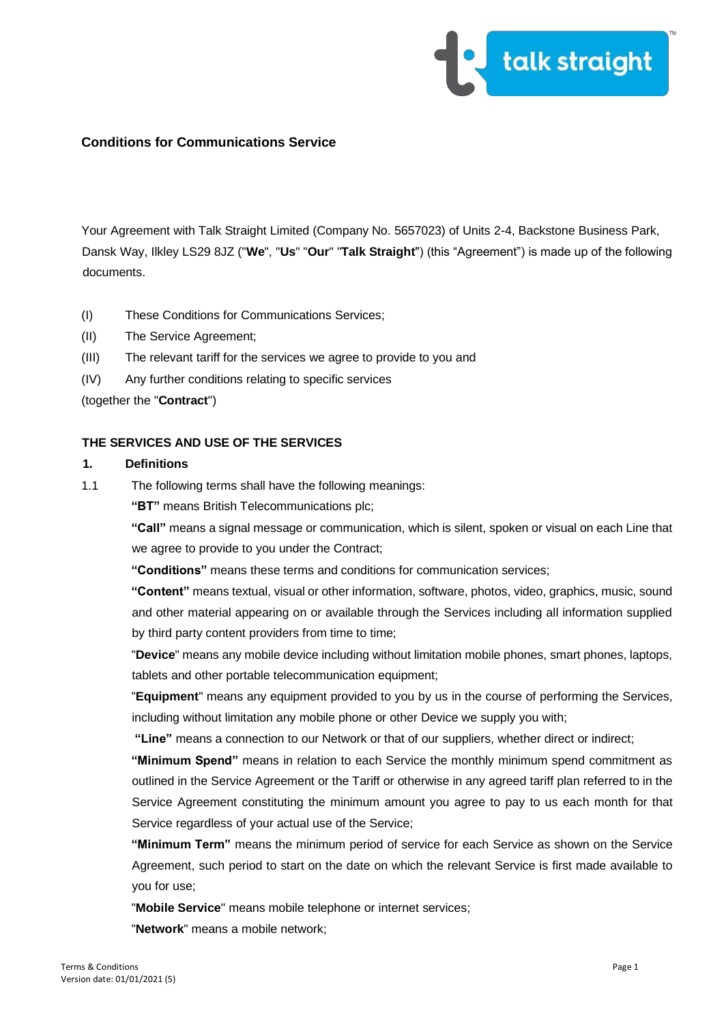

Your Agreement with Talk Straight Limited (Company No. 5657023) of Units 2-4, Backstone Business Park, Dansk Way, Ilkley LS29 8JZ ("**We**", "**Us**" "**Our**" "**Talk Straight**") (this "Agreement") is made up of the following documents.

- (I) These Conditions for Communications Services;
- (II) The Service Agreement;
- (III) The relevant tariff for the services we agree to provide to you and
- (IV) Any further conditions relating to specific services

(together the "**Contract**")

## **THE SERVICES AND USE OF THE SERVICES**

### **1. Definitions**

1.1 The following terms shall have the following meanings:

**"BT"** means British Telecommunications plc;

**"Call"** means a signal message or communication, which is silent, spoken or visual on each Line that we agree to provide to you under the Contract;

**"Conditions"** means these terms and conditions for communication services;

**"Content"** means textual, visual or other information, software, photos, video, graphics, music, sound and other material appearing on or available through the Services including all information supplied by third party content providers from time to time;

"**Device**" means any mobile device including without limitation mobile phones, smart phones, laptops, tablets and other portable telecommunication equipment;

"**Equipment**" means any equipment provided to you by us in the course of performing the Services, including without limitation any mobile phone or other Device we supply you with;

**"Line"** means a connection to our Network or that of our suppliers, whether direct or indirect;

**"Minimum Spend"** means in relation to each Service the monthly minimum spend commitment as outlined in the Service Agreement or the Tariff or otherwise in any agreed tariff plan referred to in the Service Agreement constituting the minimum amount you agree to pay to us each month for that Service regardless of your actual use of the Service;

**"Minimum Term"** means the minimum period of service for each Service as shown on the Service Agreement, such period to start on the date on which the relevant Service is first made available to you for use;

"**Mobile Service**" means mobile telephone or internet services;

"**Network**" means a mobile network;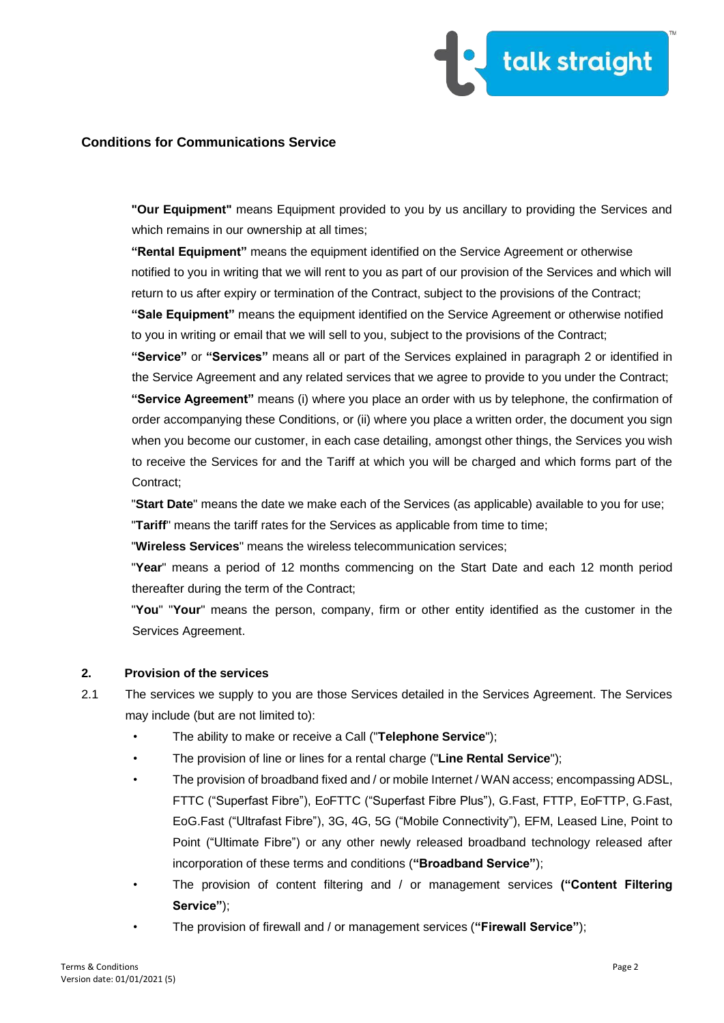

**"Our Equipment"** means Equipment provided to you by us ancillary to providing the Services and which remains in our ownership at all times;

**"Rental Equipment"** means the equipment identified on the Service Agreement or otherwise notified to you in writing that we will rent to you as part of our provision of the Services and which will return to us after expiry or termination of the Contract, subject to the provisions of the Contract;

**"Sale Equipment"** means the equipment identified on the Service Agreement or otherwise notified to you in writing or email that we will sell to you, subject to the provisions of the Contract;

**"Service"** or **"Services"** means all or part of the Services explained in paragraph 2 or identified in the Service Agreement and any related services that we agree to provide to you under the Contract; **"Service Agreement"** means (i) where you place an order with us by telephone, the confirmation of order accompanying these Conditions, or (ii) where you place a written order, the document you sign when you become our customer, in each case detailing, amongst other things, the Services you wish to receive the Services for and the Tariff at which you will be charged and which forms part of the Contract;

"**Start Date**" means the date we make each of the Services (as applicable) available to you for use; "**Tariff**" means the tariff rates for the Services as applicable from time to time;

"**Wireless Services**" means the wireless telecommunication services;

"**Year**" means a period of 12 months commencing on the Start Date and each 12 month period thereafter during the term of the Contract;

"**You**" "**Your**" means the person, company, firm or other entity identified as the customer in the Services Agreement.

## **2. Provision of the services**

- 2.1 The services we supply to you are those Services detailed in the Services Agreement. The Services may include (but are not limited to):
	- The ability to make or receive a Call ("**Telephone Service**");
	- The provision of line or lines for a rental charge ("**Line Rental Service**");
	- The provision of broadband fixed and / or mobile Internet / WAN access; encompassing ADSL, FTTC ("Superfast Fibre"), EoFTTC ("Superfast Fibre Plus"), G.Fast, FTTP, EoFTTP, G.Fast, EoG.Fast ("Ultrafast Fibre"), 3G, 4G, 5G ("Mobile Connectivity"), EFM, Leased Line, Point to Point ("Ultimate Fibre") or any other newly released broadband technology released after incorporation of these terms and conditions (**"Broadband Service"**);
	- The provision of content filtering and / or management services **("Content Filtering Service"**);
	- The provision of firewall and / or management services (**"Firewall Service"**);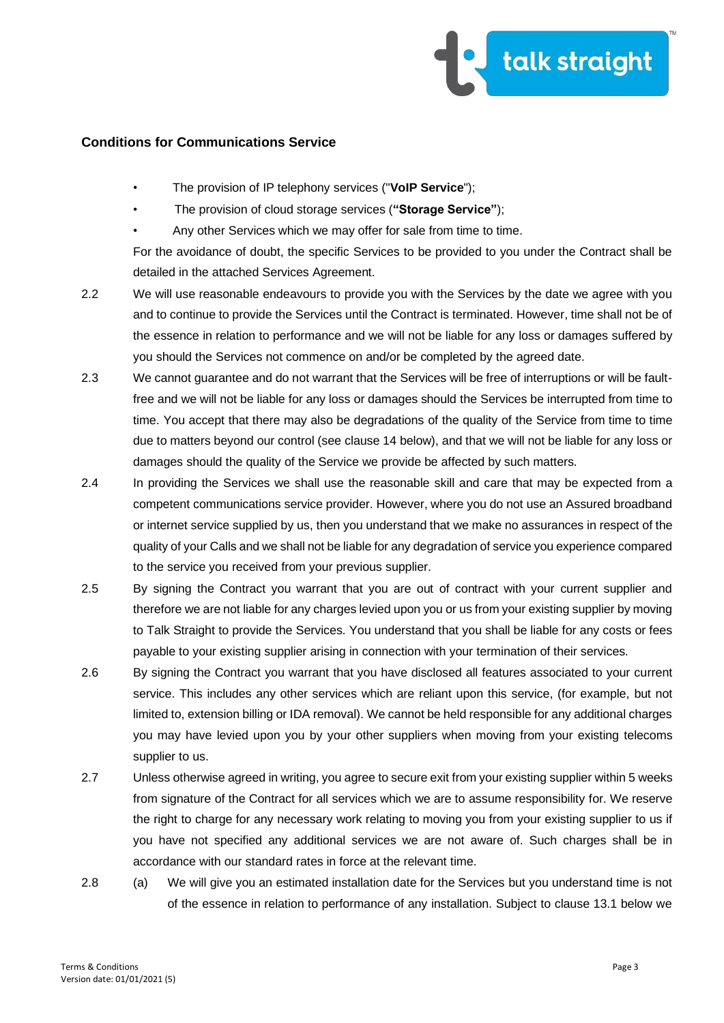

- The provision of IP telephony services ("**VoIP Service**");
- The provision of cloud storage services (**"Storage Service"**);
- Any other Services which we may offer for sale from time to time.

For the avoidance of doubt, the specific Services to be provided to you under the Contract shall be detailed in the attached Services Agreement.

- 2.2 We will use reasonable endeavours to provide you with the Services by the date we agree with you and to continue to provide the Services until the Contract is terminated. However, time shall not be of the essence in relation to performance and we will not be liable for any loss or damages suffered by you should the Services not commence on and/or be completed by the agreed date.
- 2.3 We cannot guarantee and do not warrant that the Services will be free of interruptions or will be faultfree and we will not be liable for any loss or damages should the Services be interrupted from time to time. You accept that there may also be degradations of the quality of the Service from time to time due to matters beyond our control (see clause 14 below), and that we will not be liable for any loss or damages should the quality of the Service we provide be affected by such matters.
- 2.4 In providing the Services we shall use the reasonable skill and care that may be expected from a competent communications service provider. However, where you do not use an Assured broadband or internet service supplied by us, then you understand that we make no assurances in respect of the quality of your Calls and we shall not be liable for any degradation of service you experience compared to the service you received from your previous supplier.
- 2.5 By signing the Contract you warrant that you are out of contract with your current supplier and therefore we are not liable for any charges levied upon you or us from your existing supplier by moving to Talk Straight to provide the Services. You understand that you shall be liable for any costs or fees payable to your existing supplier arising in connection with your termination of their services.
- 2.6 By signing the Contract you warrant that you have disclosed all features associated to your current service. This includes any other services which are reliant upon this service, (for example, but not limited to, extension billing or IDA removal). We cannot be held responsible for any additional charges you may have levied upon you by your other suppliers when moving from your existing telecoms supplier to us.
- 2.7 Unless otherwise agreed in writing, you agree to secure exit from your existing supplier within 5 weeks from signature of the Contract for all services which we are to assume responsibility for. We reserve the right to charge for any necessary work relating to moving you from your existing supplier to us if you have not specified any additional services we are not aware of. Such charges shall be in accordance with our standard rates in force at the relevant time.
- 2.8 (a) We will give you an estimated installation date for the Services but you understand time is not of the essence in relation to performance of any installation. Subject to clause 13.1 below we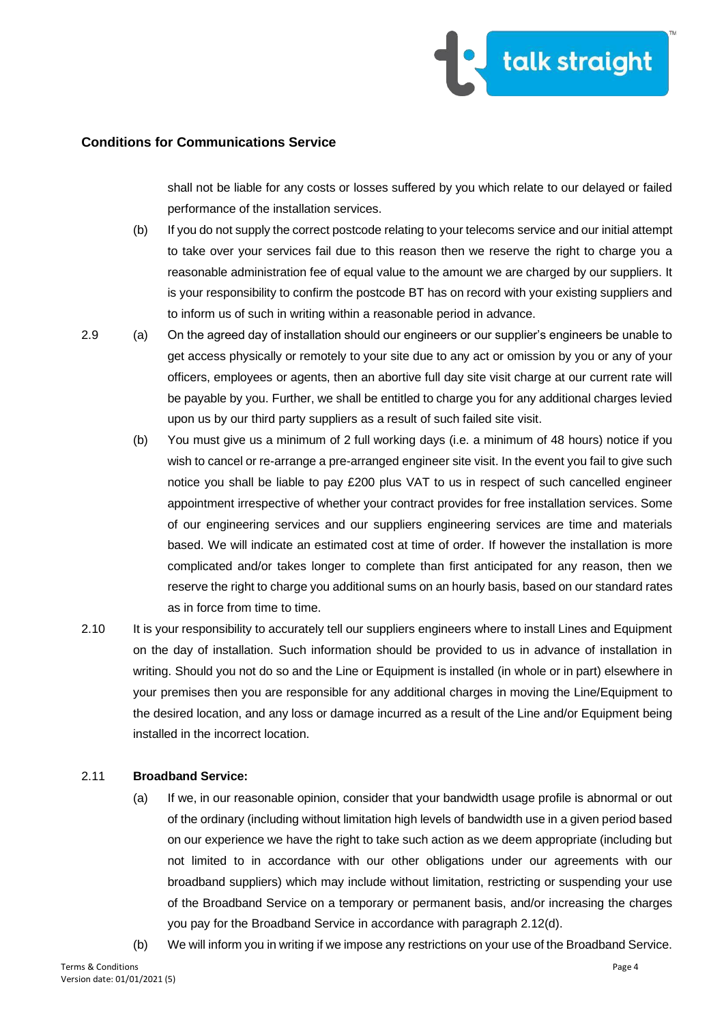

shall not be liable for any costs or losses suffered by you which relate to our delayed or failed performance of the installation services.

- (b) If you do not supply the correct postcode relating to your telecoms service and our initial attempt to take over your services fail due to this reason then we reserve the right to charge you a reasonable administration fee of equal value to the amount we are charged by our suppliers. It is your responsibility to confirm the postcode BT has on record with your existing suppliers and to inform us of such in writing within a reasonable period in advance.
- 2.9 (a) On the agreed day of installation should our engineers or our supplier's engineers be unable to get access physically or remotely to your site due to any act or omission by you or any of your officers, employees or agents, then an abortive full day site visit charge at our current rate will be payable by you. Further, we shall be entitled to charge you for any additional charges levied upon us by our third party suppliers as a result of such failed site visit.
	- (b) You must give us a minimum of 2 full working days (i.e. a minimum of 48 hours) notice if you wish to cancel or re-arrange a pre-arranged engineer site visit. In the event you fail to give such notice you shall be liable to pay £200 plus VAT to us in respect of such cancelled engineer appointment irrespective of whether your contract provides for free installation services. Some of our engineering services and our suppliers engineering services are time and materials based. We will indicate an estimated cost at time of order. If however the installation is more complicated and/or takes longer to complete than first anticipated for any reason, then we reserve the right to charge you additional sums on an hourly basis, based on our standard rates as in force from time to time.
- 2.10 It is your responsibility to accurately tell our suppliers engineers where to install Lines and Equipment on the day of installation. Such information should be provided to us in advance of installation in writing. Should you not do so and the Line or Equipment is installed (in whole or in part) elsewhere in your premises then you are responsible for any additional charges in moving the Line/Equipment to the desired location, and any loss or damage incurred as a result of the Line and/or Equipment being installed in the incorrect location.

#### 2.11 **Broadband Service:**

- (a) If we, in our reasonable opinion, consider that your bandwidth usage profile is abnormal or out of the ordinary (including without limitation high levels of bandwidth use in a given period based on our experience we have the right to take such action as we deem appropriate (including but not limited to in accordance with our other obligations under our agreements with our broadband suppliers) which may include without limitation, restricting or suspending your use of the Broadband Service on a temporary or permanent basis, and/or increasing the charges you pay for the Broadband Service in accordance with paragraph 2.12(d).
- (b) We will inform you in writing if we impose any restrictions on your use of the Broadband Service.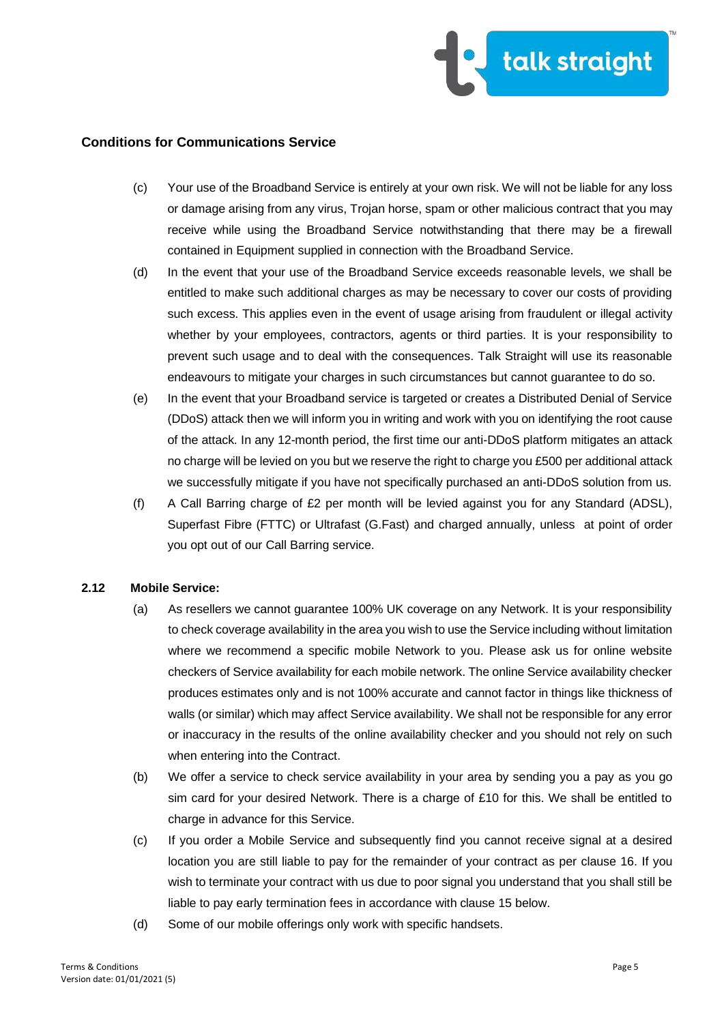

- (c) Your use of the Broadband Service is entirely at your own risk. We will not be liable for any loss or damage arising from any virus, Trojan horse, spam or other malicious contract that you may receive while using the Broadband Service notwithstanding that there may be a firewall contained in Equipment supplied in connection with the Broadband Service.
- (d) In the event that your use of the Broadband Service exceeds reasonable levels, we shall be entitled to make such additional charges as may be necessary to cover our costs of providing such excess. This applies even in the event of usage arising from fraudulent or illegal activity whether by your employees, contractors, agents or third parties. It is your responsibility to prevent such usage and to deal with the consequences. Talk Straight will use its reasonable endeavours to mitigate your charges in such circumstances but cannot guarantee to do so.
- (e) In the event that your Broadband service is targeted or creates a Distributed Denial of Service (DDoS) attack then we will inform you in writing and work with you on identifying the root cause of the attack. In any 12-month period, the first time our anti-DDoS platform mitigates an attack no charge will be levied on you but we reserve the right to charge you £500 per additional attack we successfully mitigate if you have not specifically purchased an anti-DDoS solution from us.
- (f) A Call Barring charge of £2 per month will be levied against you for any Standard (ADSL), Superfast Fibre (FTTC) or Ultrafast (G.Fast) and charged annually, unless at point of order you opt out of our Call Barring service.

## **2.12 Mobile Service:**

- (a) As resellers we cannot guarantee 100% UK coverage on any Network. It is your responsibility to check coverage availability in the area you wish to use the Service including without limitation where we recommend a specific mobile Network to you. Please ask us for online website checkers of Service availability for each mobile network. The online Service availability checker produces estimates only and is not 100% accurate and cannot factor in things like thickness of walls (or similar) which may affect Service availability. We shall not be responsible for any error or inaccuracy in the results of the online availability checker and you should not rely on such when entering into the Contract.
- (b) We offer a service to check service availability in your area by sending you a pay as you go sim card for your desired Network. There is a charge of £10 for this. We shall be entitled to charge in advance for this Service.
- (c) If you order a Mobile Service and subsequently find you cannot receive signal at a desired location you are still liable to pay for the remainder of your contract as per clause 16. If you wish to terminate your contract with us due to poor signal you understand that you shall still be liable to pay early termination fees in accordance with clause 15 below.
- (d) Some of our mobile offerings only work with specific handsets.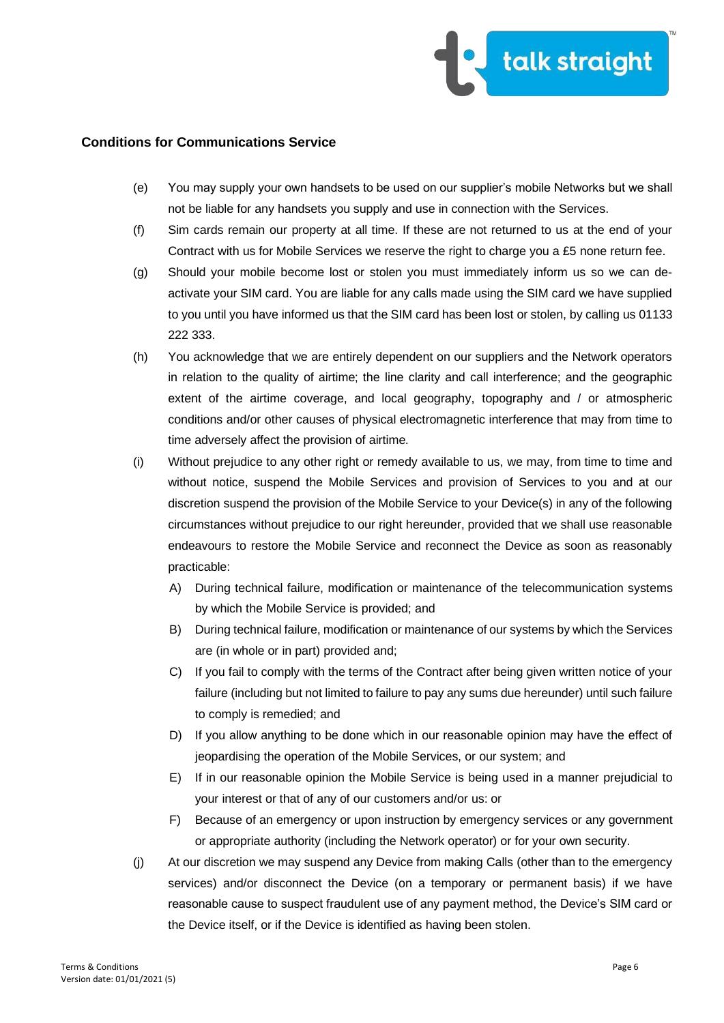

- (e) You may supply your own handsets to be used on our supplier's mobile Networks but we shall not be liable for any handsets you supply and use in connection with the Services.
- (f) Sim cards remain our property at all time. If these are not returned to us at the end of your Contract with us for Mobile Services we reserve the right to charge you a £5 none return fee.
- (g) Should your mobile become lost or stolen you must immediately inform us so we can deactivate your SIM card. You are liable for any calls made using the SIM card we have supplied to you until you have informed us that the SIM card has been lost or stolen, by calling us 01133 222 333.
- (h) You acknowledge that we are entirely dependent on our suppliers and the Network operators in relation to the quality of airtime; the line clarity and call interference; and the geographic extent of the airtime coverage, and local geography, topography and / or atmospheric conditions and/or other causes of physical electromagnetic interference that may from time to time adversely affect the provision of airtime.
- (i) Without prejudice to any other right or remedy available to us, we may, from time to time and without notice, suspend the Mobile Services and provision of Services to you and at our discretion suspend the provision of the Mobile Service to your Device(s) in any of the following circumstances without prejudice to our right hereunder, provided that we shall use reasonable endeavours to restore the Mobile Service and reconnect the Device as soon as reasonably practicable:
	- A) During technical failure, modification or maintenance of the telecommunication systems by which the Mobile Service is provided; and
	- B) During technical failure, modification or maintenance of our systems by which the Services are (in whole or in part) provided and;
	- C) If you fail to comply with the terms of the Contract after being given written notice of your failure (including but not limited to failure to pay any sums due hereunder) until such failure to comply is remedied; and
	- D) If you allow anything to be done which in our reasonable opinion may have the effect of jeopardising the operation of the Mobile Services, or our system; and
	- E) If in our reasonable opinion the Mobile Service is being used in a manner prejudicial to your interest or that of any of our customers and/or us: or
	- F) Because of an emergency or upon instruction by emergency services or any government or appropriate authority (including the Network operator) or for your own security.
- (j) At our discretion we may suspend any Device from making Calls (other than to the emergency services) and/or disconnect the Device (on a temporary or permanent basis) if we have reasonable cause to suspect fraudulent use of any payment method, the Device's SIM card or the Device itself, or if the Device is identified as having been stolen.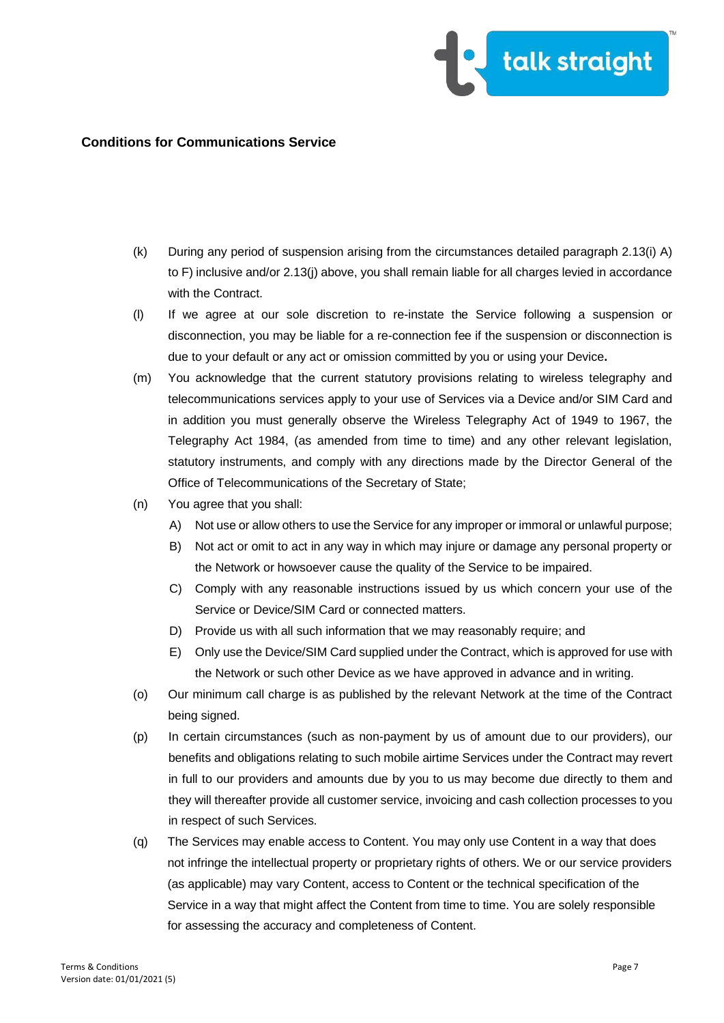

- (k) During any period of suspension arising from the circumstances detailed paragraph 2.13(i) A) to F) inclusive and/or 2.13(j) above, you shall remain liable for all charges levied in accordance with the Contract.
- (l) If we agree at our sole discretion to re-instate the Service following a suspension or disconnection, you may be liable for a re-connection fee if the suspension or disconnection is due to your default or any act or omission committed by you or using your Device**.**
- (m) You acknowledge that the current statutory provisions relating to wireless telegraphy and telecommunications services apply to your use of Services via a Device and/or SIM Card and in addition you must generally observe the Wireless Telegraphy Act of 1949 to 1967, the Telegraphy Act 1984, (as amended from time to time) and any other relevant legislation, statutory instruments, and comply with any directions made by the Director General of the Office of Telecommunications of the Secretary of State;
- (n) You agree that you shall:
	- A) Not use or allow others to use the Service for any improper or immoral or unlawful purpose;
	- B) Not act or omit to act in any way in which may injure or damage any personal property or the Network or howsoever cause the quality of the Service to be impaired.
	- C) Comply with any reasonable instructions issued by us which concern your use of the Service or Device/SIM Card or connected matters.
	- D) Provide us with all such information that we may reasonably require; and
	- E) Only use the Device/SIM Card supplied under the Contract, which is approved for use with the Network or such other Device as we have approved in advance and in writing.
- (o) Our minimum call charge is as published by the relevant Network at the time of the Contract being signed.
- (p) In certain circumstances (such as non-payment by us of amount due to our providers), our benefits and obligations relating to such mobile airtime Services under the Contract may revert in full to our providers and amounts due by you to us may become due directly to them and they will thereafter provide all customer service, invoicing and cash collection processes to you in respect of such Services.
- (q) The Services may enable access to Content. You may only use Content in a way that does not infringe the intellectual property or proprietary rights of others. We or our service providers (as applicable) may vary Content, access to Content or the technical specification of the Service in a way that might affect the Content from time to time. You are solely responsible for assessing the accuracy and completeness of Content.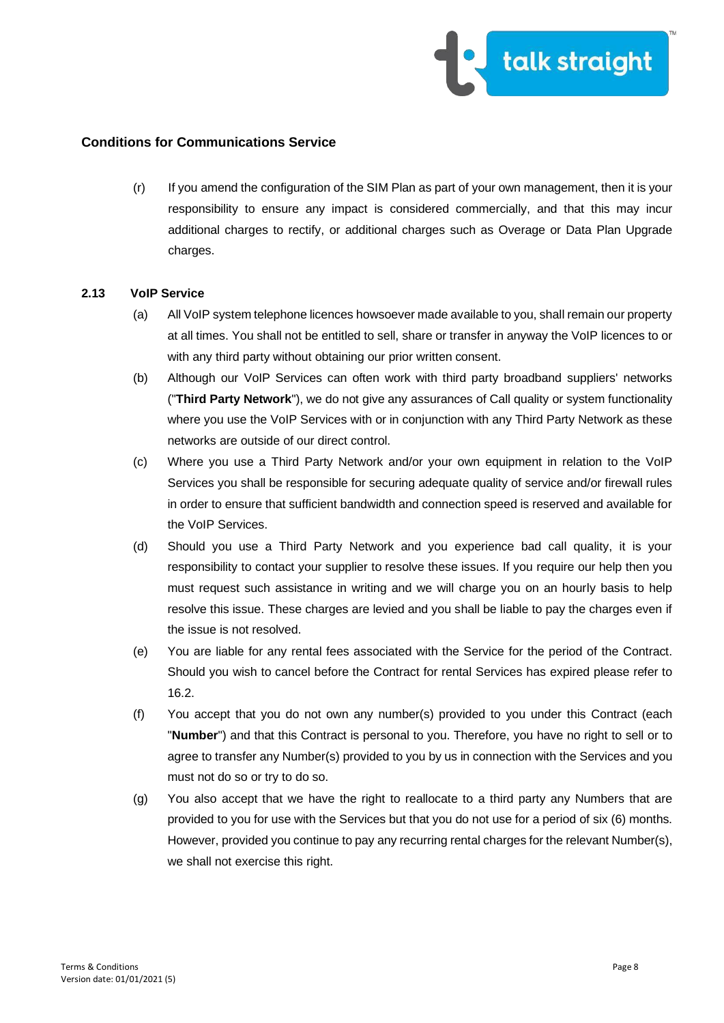

(r) If you amend the configuration of the SIM Plan as part of your own management, then it is your responsibility to ensure any impact is considered commercially, and that this may incur additional charges to rectify, or additional charges such as Overage or Data Plan Upgrade charges.

#### **2.13 VoIP Service**

- (a) All VoIP system telephone licences howsoever made available to you, shall remain our property at all times. You shall not be entitled to sell, share or transfer in anyway the VoIP licences to or with any third party without obtaining our prior written consent.
- (b) Although our VoIP Services can often work with third party broadband suppliers' networks ("**Third Party Network**"), we do not give any assurances of Call quality or system functionality where you use the VoIP Services with or in conjunction with any Third Party Network as these networks are outside of our direct control.
- (c) Where you use a Third Party Network and/or your own equipment in relation to the VoIP Services you shall be responsible for securing adequate quality of service and/or firewall rules in order to ensure that sufficient bandwidth and connection speed is reserved and available for the VoIP Services.
- (d) Should you use a Third Party Network and you experience bad call quality, it is your responsibility to contact your supplier to resolve these issues. If you require our help then you must request such assistance in writing and we will charge you on an hourly basis to help resolve this issue. These charges are levied and you shall be liable to pay the charges even if the issue is not resolved.
- (e) You are liable for any rental fees associated with the Service for the period of the Contract. Should you wish to cancel before the Contract for rental Services has expired please refer to 16.2.
- (f) You accept that you do not own any number(s) provided to you under this Contract (each "**Number**") and that this Contract is personal to you. Therefore, you have no right to sell or to agree to transfer any Number(s) provided to you by us in connection with the Services and you must not do so or try to do so.
- (g) You also accept that we have the right to reallocate to a third party any Numbers that are provided to you for use with the Services but that you do not use for a period of six (6) months. However, provided you continue to pay any recurring rental charges for the relevant Number(s), we shall not exercise this right.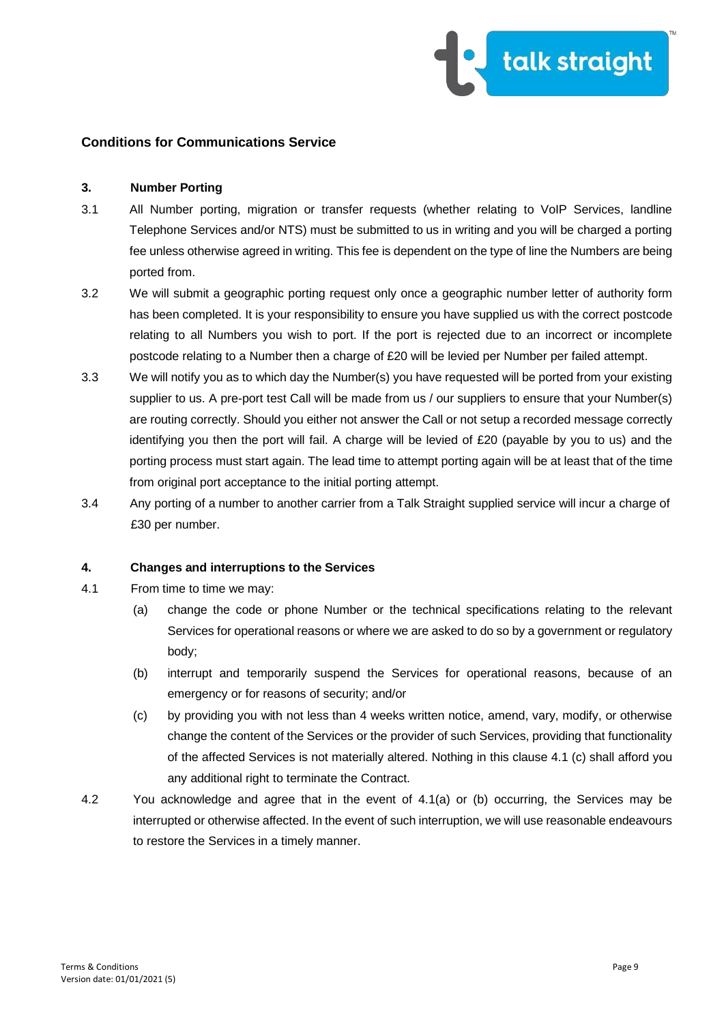

### **3. Number Porting**

- 3.1 All Number porting, migration or transfer requests (whether relating to VoIP Services, landline Telephone Services and/or NTS) must be submitted to us in writing and you will be charged a porting fee unless otherwise agreed in writing. This fee is dependent on the type of line the Numbers are being ported from.
- 3.2 We will submit a geographic porting request only once a geographic number letter of authority form has been completed. It is your responsibility to ensure you have supplied us with the correct postcode relating to all Numbers you wish to port. If the port is rejected due to an incorrect or incomplete postcode relating to a Number then a charge of £20 will be levied per Number per failed attempt.
- 3.3 We will notify you as to which day the Number(s) you have requested will be ported from your existing supplier to us. A pre-port test Call will be made from us / our suppliers to ensure that your Number(s) are routing correctly. Should you either not answer the Call or not setup a recorded message correctly identifying you then the port will fail. A charge will be levied of £20 (payable by you to us) and the porting process must start again. The lead time to attempt porting again will be at least that of the time from original port acceptance to the initial porting attempt.
- 3.4 Any porting of a number to another carrier from a Talk Straight supplied service will incur a charge of £30 per number.

### **4. Changes and interruptions to the Services**

- 4.1 From time to time we may:
	- (a) change the code or phone Number or the technical specifications relating to the relevant Services for operational reasons or where we are asked to do so by a government or regulatory body;
	- (b) interrupt and temporarily suspend the Services for operational reasons, because of an emergency or for reasons of security; and/or
	- (c) by providing you with not less than 4 weeks written notice, amend, vary, modify, or otherwise change the content of the Services or the provider of such Services, providing that functionality of the affected Services is not materially altered. Nothing in this clause 4.1 (c) shall afford you any additional right to terminate the Contract.
- 4.2 You acknowledge and agree that in the event of 4.1(a) or (b) occurring, the Services may be interrupted or otherwise affected. In the event of such interruption, we will use reasonable endeavours to restore the Services in a timely manner.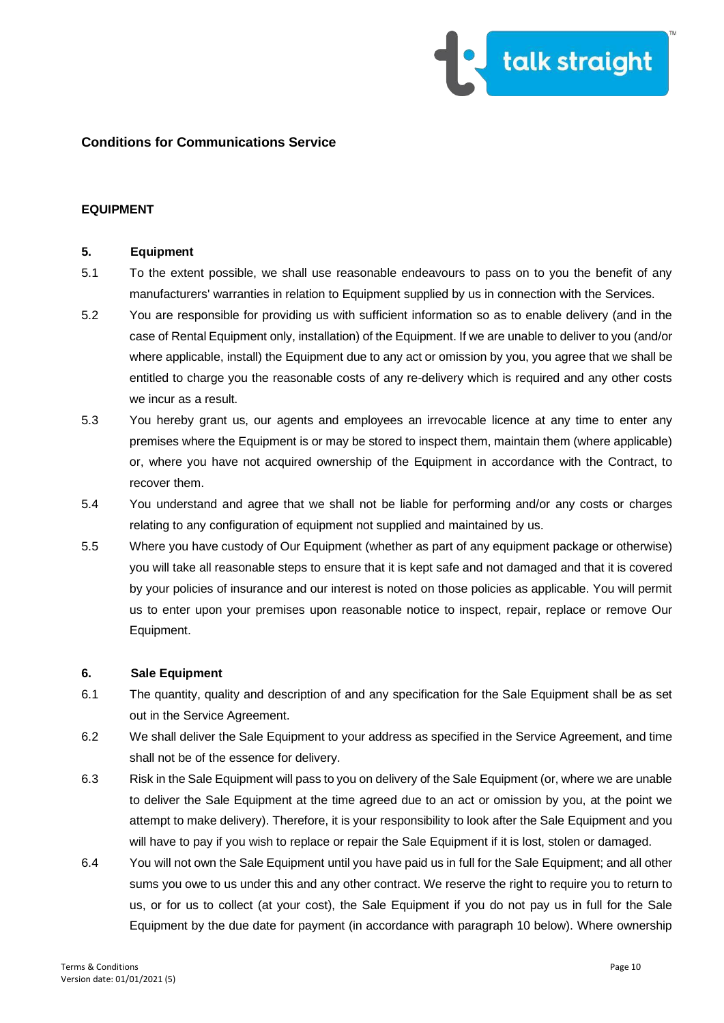

## **EQUIPMENT**

#### **5. Equipment**

- 5.1 To the extent possible, we shall use reasonable endeavours to pass on to you the benefit of any manufacturers' warranties in relation to Equipment supplied by us in connection with the Services.
- 5.2 You are responsible for providing us with sufficient information so as to enable delivery (and in the case of Rental Equipment only, installation) of the Equipment. If we are unable to deliver to you (and/or where applicable, install) the Equipment due to any act or omission by you, you agree that we shall be entitled to charge you the reasonable costs of any re-delivery which is required and any other costs we incur as a result.
- 5.3 You hereby grant us, our agents and employees an irrevocable licence at any time to enter any premises where the Equipment is or may be stored to inspect them, maintain them (where applicable) or, where you have not acquired ownership of the Equipment in accordance with the Contract, to recover them.
- 5.4 You understand and agree that we shall not be liable for performing and/or any costs or charges relating to any configuration of equipment not supplied and maintained by us.
- 5.5 Where you have custody of Our Equipment (whether as part of any equipment package or otherwise) you will take all reasonable steps to ensure that it is kept safe and not damaged and that it is covered by your policies of insurance and our interest is noted on those policies as applicable. You will permit us to enter upon your premises upon reasonable notice to inspect, repair, replace or remove Our Equipment.

### **6. Sale Equipment**

- 6.1 The quantity, quality and description of and any specification for the Sale Equipment shall be as set out in the Service Agreement.
- 6.2 We shall deliver the Sale Equipment to your address as specified in the Service Agreement, and time shall not be of the essence for delivery.
- 6.3 Risk in the Sale Equipment will pass to you on delivery of the Sale Equipment (or, where we are unable to deliver the Sale Equipment at the time agreed due to an act or omission by you, at the point we attempt to make delivery). Therefore, it is your responsibility to look after the Sale Equipment and you will have to pay if you wish to replace or repair the Sale Equipment if it is lost, stolen or damaged.
- 6.4 You will not own the Sale Equipment until you have paid us in full for the Sale Equipment; and all other sums you owe to us under this and any other contract. We reserve the right to require you to return to us, or for us to collect (at your cost), the Sale Equipment if you do not pay us in full for the Sale Equipment by the due date for payment (in accordance with paragraph 10 below). Where ownership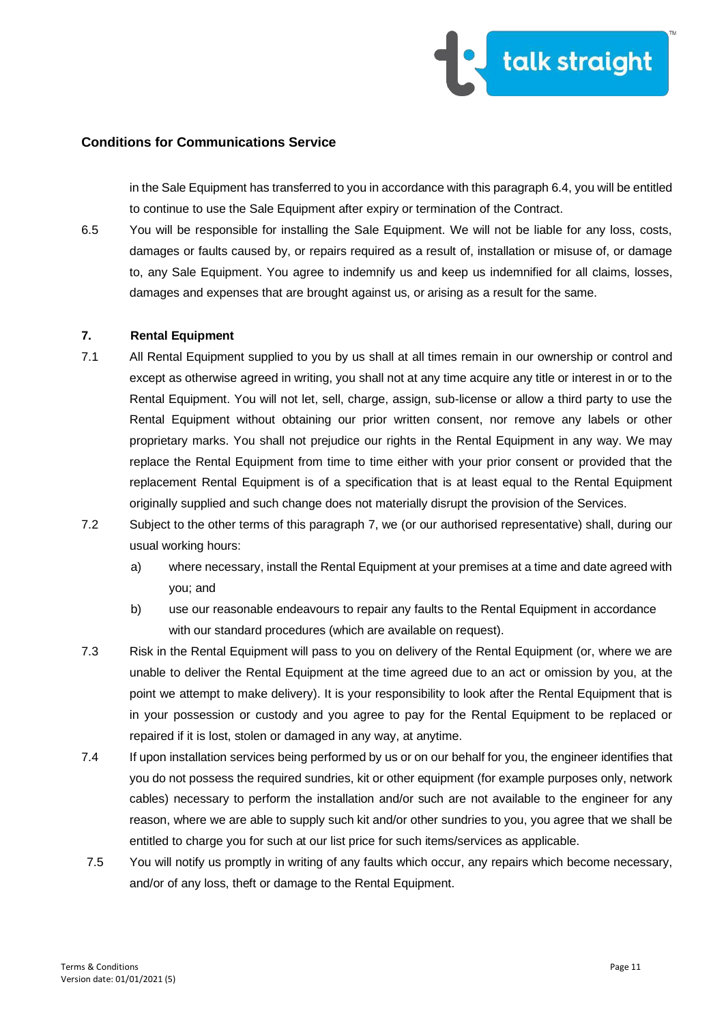

in the Sale Equipment has transferred to you in accordance with this paragraph 6.4, you will be entitled to continue to use the Sale Equipment after expiry or termination of the Contract.

6.5 You will be responsible for installing the Sale Equipment. We will not be liable for any loss, costs, damages or faults caused by, or repairs required as a result of, installation or misuse of, or damage to, any Sale Equipment. You agree to indemnify us and keep us indemnified for all claims, losses, damages and expenses that are brought against us, or arising as a result for the same.

#### **7. Rental Equipment**

- 7.1 All Rental Equipment supplied to you by us shall at all times remain in our ownership or control and except as otherwise agreed in writing, you shall not at any time acquire any title or interest in or to the Rental Equipment. You will not let, sell, charge, assign, sub-license or allow a third party to use the Rental Equipment without obtaining our prior written consent, nor remove any labels or other proprietary marks. You shall not prejudice our rights in the Rental Equipment in any way. We may replace the Rental Equipment from time to time either with your prior consent or provided that the replacement Rental Equipment is of a specification that is at least equal to the Rental Equipment originally supplied and such change does not materially disrupt the provision of the Services.
- 7.2 Subject to the other terms of this paragraph 7, we (or our authorised representative) shall, during our usual working hours:
	- a) where necessary, install the Rental Equipment at your premises at a time and date agreed with you; and
	- b) use our reasonable endeavours to repair any faults to the Rental Equipment in accordance with our standard procedures (which are available on request).
- 7.3 Risk in the Rental Equipment will pass to you on delivery of the Rental Equipment (or, where we are unable to deliver the Rental Equipment at the time agreed due to an act or omission by you, at the point we attempt to make delivery). It is your responsibility to look after the Rental Equipment that is in your possession or custody and you agree to pay for the Rental Equipment to be replaced or repaired if it is lost, stolen or damaged in any way, at anytime.
- 7.4 If upon installation services being performed by us or on our behalf for you, the engineer identifies that you do not possess the required sundries, kit or other equipment (for example purposes only, network cables) necessary to perform the installation and/or such are not available to the engineer for any reason, where we are able to supply such kit and/or other sundries to you, you agree that we shall be entitled to charge you for such at our list price for such items/services as applicable.
- 7.5 You will notify us promptly in writing of any faults which occur, any repairs which become necessary, and/or of any loss, theft or damage to the Rental Equipment.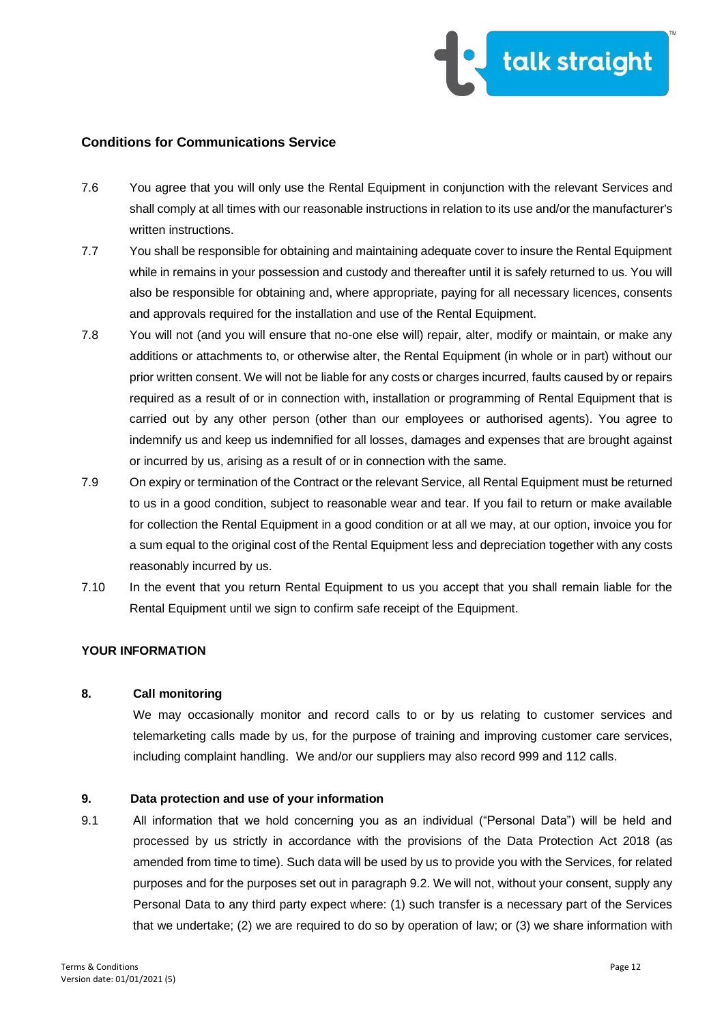

- 7.6 You agree that you will only use the Rental Equipment in conjunction with the relevant Services and shall comply at all times with our reasonable instructions in relation to its use and/or the manufacturer's written instructions.
- 7.7 You shall be responsible for obtaining and maintaining adequate cover to insure the Rental Equipment while in remains in your possession and custody and thereafter until it is safely returned to us. You will also be responsible for obtaining and, where appropriate, paying for all necessary licences, consents and approvals required for the installation and use of the Rental Equipment.
- 7.8 You will not (and you will ensure that no-one else will) repair, alter, modify or maintain, or make any additions or attachments to, or otherwise alter, the Rental Equipment (in whole or in part) without our prior written consent. We will not be liable for any costs or charges incurred, faults caused by or repairs required as a result of or in connection with, installation or programming of Rental Equipment that is carried out by any other person (other than our employees or authorised agents). You agree to indemnify us and keep us indemnified for all losses, damages and expenses that are brought against or incurred by us, arising as a result of or in connection with the same.
- 7.9 On expiry or termination of the Contract or the relevant Service, all Rental Equipment must be returned to us in a good condition, subject to reasonable wear and tear. If you fail to return or make available for collection the Rental Equipment in a good condition or at all we may, at our option, invoice you for a sum equal to the original cost of the Rental Equipment less and depreciation together with any costs reasonably incurred by us.
- 7.10 In the event that you return Rental Equipment to us you accept that you shall remain liable for the Rental Equipment until we sign to confirm safe receipt of the Equipment.

## **YOUR INFORMATION**

#### **8. Call monitoring**

We may occasionally monitor and record calls to or by us relating to customer services and telemarketing calls made by us, for the purpose of training and improving customer care services, including complaint handling. We and/or our suppliers may also record 999 and 112 calls.

#### **9. Data protection and use of your information**

9.1 All information that we hold concerning you as an individual ("Personal Data") will be held and processed by us strictly in accordance with the provisions of the Data Protection Act 2018 (as amended from time to time). Such data will be used by us to provide you with the Services, for related purposes and for the purposes set out in paragraph 9.2. We will not, without your consent, supply any Personal Data to any third party expect where: (1) such transfer is a necessary part of the Services that we undertake; (2) we are required to do so by operation of law; or (3) we share information with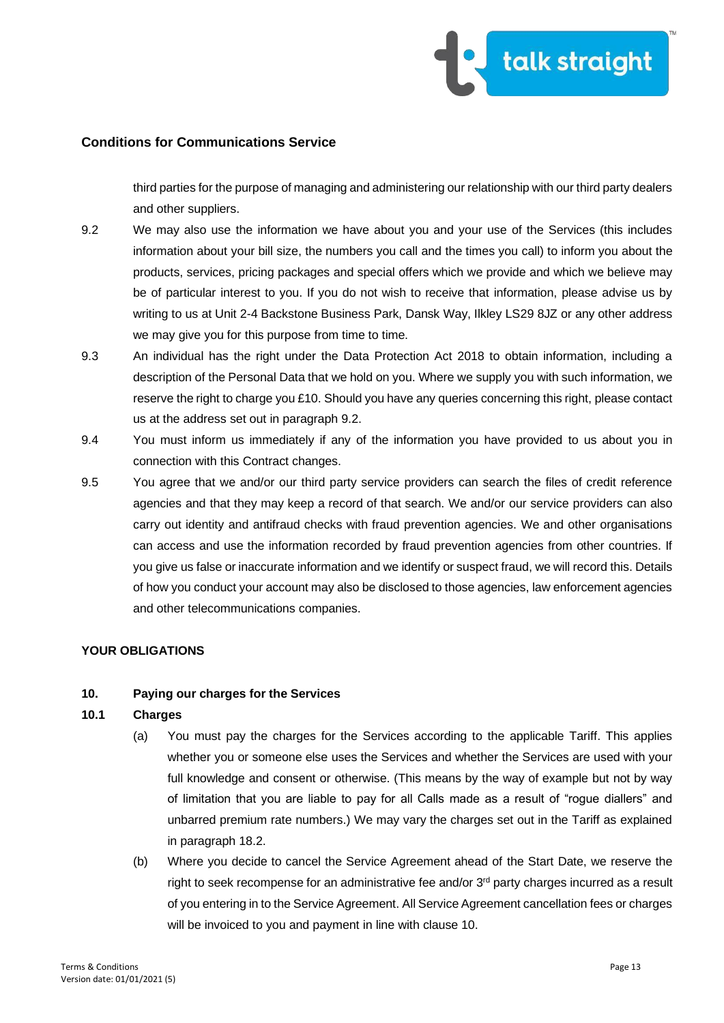

third parties for the purpose of managing and administering our relationship with our third party dealers and other suppliers.

- 9.2 We may also use the information we have about you and your use of the Services (this includes information about your bill size, the numbers you call and the times you call) to inform you about the products, services, pricing packages and special offers which we provide and which we believe may be of particular interest to you. If you do not wish to receive that information, please advise us by writing to us at Unit 2-4 Backstone Business Park, Dansk Way, Ilkley LS29 8JZ or any other address we may give you for this purpose from time to time.
- 9.3 An individual has the right under the Data Protection Act 2018 to obtain information, including a description of the Personal Data that we hold on you. Where we supply you with such information, we reserve the right to charge you £10. Should you have any queries concerning this right, please contact us at the address set out in paragraph 9.2.
- 9.4 You must inform us immediately if any of the information you have provided to us about you in connection with this Contract changes.
- 9.5 You agree that we and/or our third party service providers can search the files of credit reference agencies and that they may keep a record of that search. We and/or our service providers can also carry out identity and antifraud checks with fraud prevention agencies. We and other organisations can access and use the information recorded by fraud prevention agencies from other countries. If you give us false or inaccurate information and we identify or suspect fraud, we will record this. Details of how you conduct your account may also be disclosed to those agencies, law enforcement agencies and other telecommunications companies.

## **YOUR OBLIGATIONS**

## **10. Paying our charges for the Services**

#### **10.1 Charges**

- (a) You must pay the charges for the Services according to the applicable Tariff. This applies whether you or someone else uses the Services and whether the Services are used with your full knowledge and consent or otherwise. (This means by the way of example but not by way of limitation that you are liable to pay for all Calls made as a result of "rogue diallers" and unbarred premium rate numbers.) We may vary the charges set out in the Tariff as explained in paragraph 18.2.
- (b) Where you decide to cancel the Service Agreement ahead of the Start Date, we reserve the right to seek recompense for an administrative fee and/or 3<sup>rd</sup> party charges incurred as a result of you entering in to the Service Agreement. All Service Agreement cancellation fees or charges will be invoiced to you and payment in line with clause 10.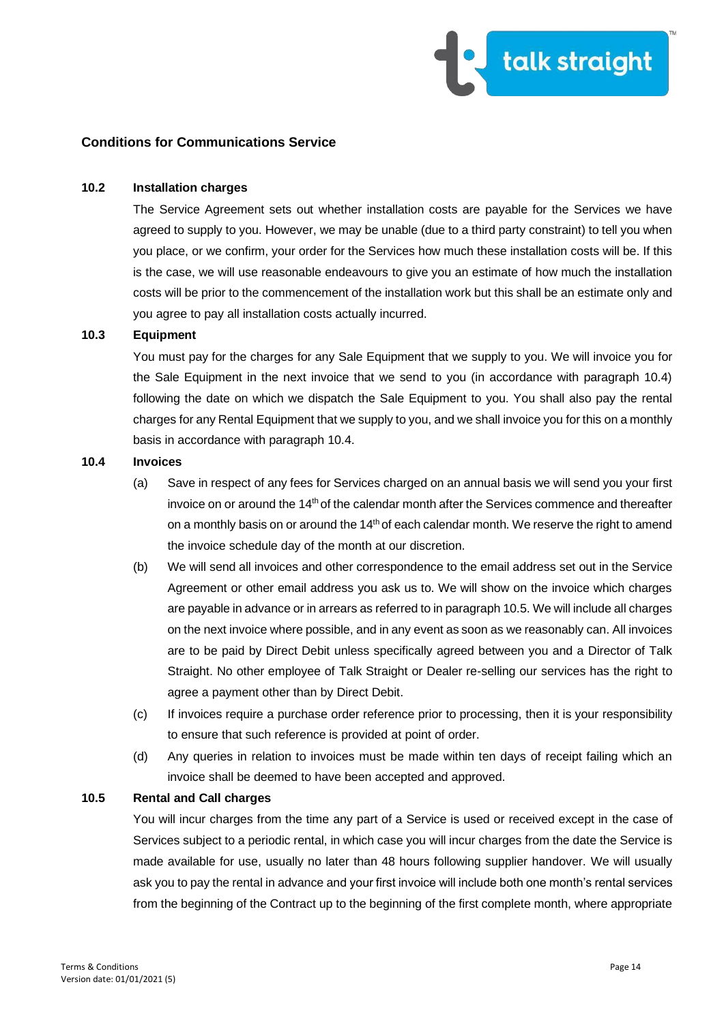

#### **10.2 Installation charges**

The Service Agreement sets out whether installation costs are payable for the Services we have agreed to supply to you. However, we may be unable (due to a third party constraint) to tell you when you place, or we confirm, your order for the Services how much these installation costs will be. If this is the case, we will use reasonable endeavours to give you an estimate of how much the installation costs will be prior to the commencement of the installation work but this shall be an estimate only and you agree to pay all installation costs actually incurred.

#### **10.3 Equipment**

You must pay for the charges for any Sale Equipment that we supply to you. We will invoice you for the Sale Equipment in the next invoice that we send to you (in accordance with paragraph 10.4) following the date on which we dispatch the Sale Equipment to you. You shall also pay the rental charges for any Rental Equipment that we supply to you, and we shall invoice you for this on a monthly basis in accordance with paragraph 10.4.

#### **10.4 Invoices**

- (a) Save in respect of any fees for Services charged on an annual basis we will send you your first invoice on or around the  $14<sup>th</sup>$  of the calendar month after the Services commence and thereafter on a monthly basis on or around the 14<sup>th</sup> of each calendar month. We reserve the right to amend the invoice schedule day of the month at our discretion.
- (b) We will send all invoices and other correspondence to the email address set out in the Service Agreement or other email address you ask us to. We will show on the invoice which charges are payable in advance or in arrears as referred to in paragraph 10.5. We will include all charges on the next invoice where possible, and in any event as soon as we reasonably can. All invoices are to be paid by Direct Debit unless specifically agreed between you and a Director of Talk Straight. No other employee of Talk Straight or Dealer re-selling our services has the right to agree a payment other than by Direct Debit.
- (c) If invoices require a purchase order reference prior to processing, then it is your responsibility to ensure that such reference is provided at point of order.
- (d) Any queries in relation to invoices must be made within ten days of receipt failing which an invoice shall be deemed to have been accepted and approved.

#### **10.5 Rental and Call charges**

You will incur charges from the time any part of a Service is used or received except in the case of Services subject to a periodic rental, in which case you will incur charges from the date the Service is made available for use, usually no later than 48 hours following supplier handover. We will usually ask you to pay the rental in advance and your first invoice will include both one month's rental services from the beginning of the Contract up to the beginning of the first complete month, where appropriate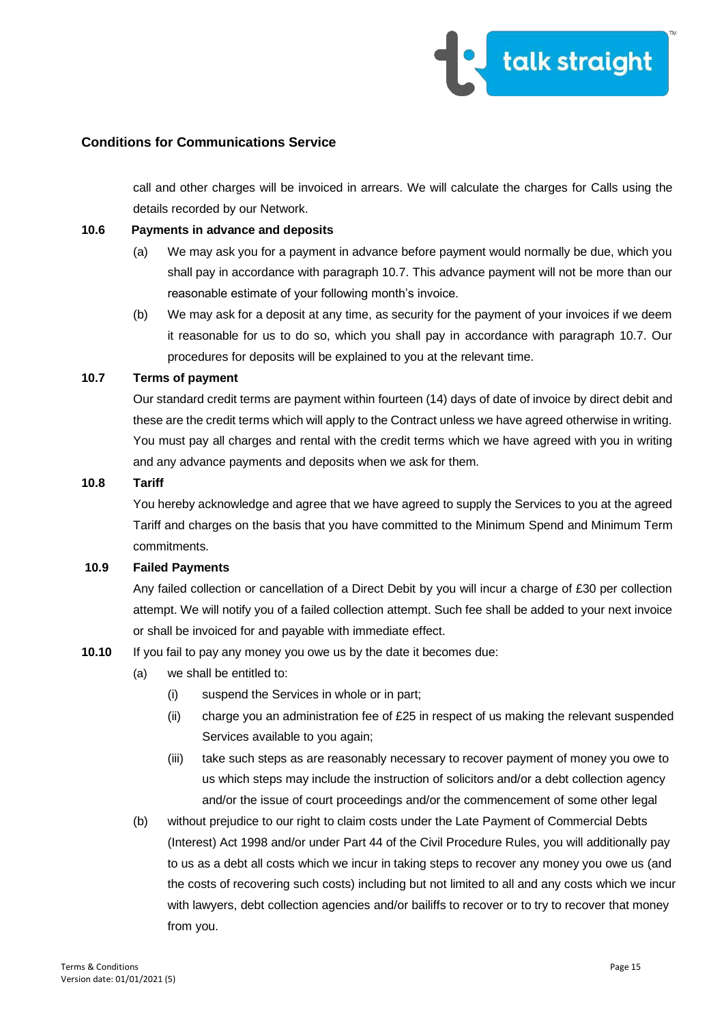

call and other charges will be invoiced in arrears. We will calculate the charges for Calls using the details recorded by our Network.

### **10.6 Payments in advance and deposits**

- (a) We may ask you for a payment in advance before payment would normally be due, which you shall pay in accordance with paragraph 10.7. This advance payment will not be more than our reasonable estimate of your following month's invoice.
- (b) We may ask for a deposit at any time, as security for the payment of your invoices if we deem it reasonable for us to do so, which you shall pay in accordance with paragraph 10.7. Our procedures for deposits will be explained to you at the relevant time.

### **10.7 Terms of payment**

Our standard credit terms are payment within fourteen (14) days of date of invoice by direct debit and these are the credit terms which will apply to the Contract unless we have agreed otherwise in writing. You must pay all charges and rental with the credit terms which we have agreed with you in writing and any advance payments and deposits when we ask for them.

#### **10.8 Tariff**

You hereby acknowledge and agree that we have agreed to supply the Services to you at the agreed Tariff and charges on the basis that you have committed to the Minimum Spend and Minimum Term commitments.

### **10.9 Failed Payments**

Any failed collection or cancellation of a Direct Debit by you will incur a charge of £30 per collection attempt. We will notify you of a failed collection attempt. Such fee shall be added to your next invoice or shall be invoiced for and payable with immediate effect.

## **10.10** If you fail to pay any money you owe us by the date it becomes due:

- (a) we shall be entitled to:
	- (i) suspend the Services in whole or in part;
	- $(i)$  charge you an administration fee of £25 in respect of us making the relevant suspended Services available to you again;
	- (iii) take such steps as are reasonably necessary to recover payment of money you owe to us which steps may include the instruction of solicitors and/or a debt collection agency and/or the issue of court proceedings and/or the commencement of some other legal
- (b) without prejudice to our right to claim costs under the Late Payment of Commercial Debts (Interest) Act 1998 and/or under Part 44 of the Civil Procedure Rules, you will additionally pay to us as a debt all costs which we incur in taking steps to recover any money you owe us (and the costs of recovering such costs) including but not limited to all and any costs which we incur with lawyers, debt collection agencies and/or bailiffs to recover or to try to recover that money from you.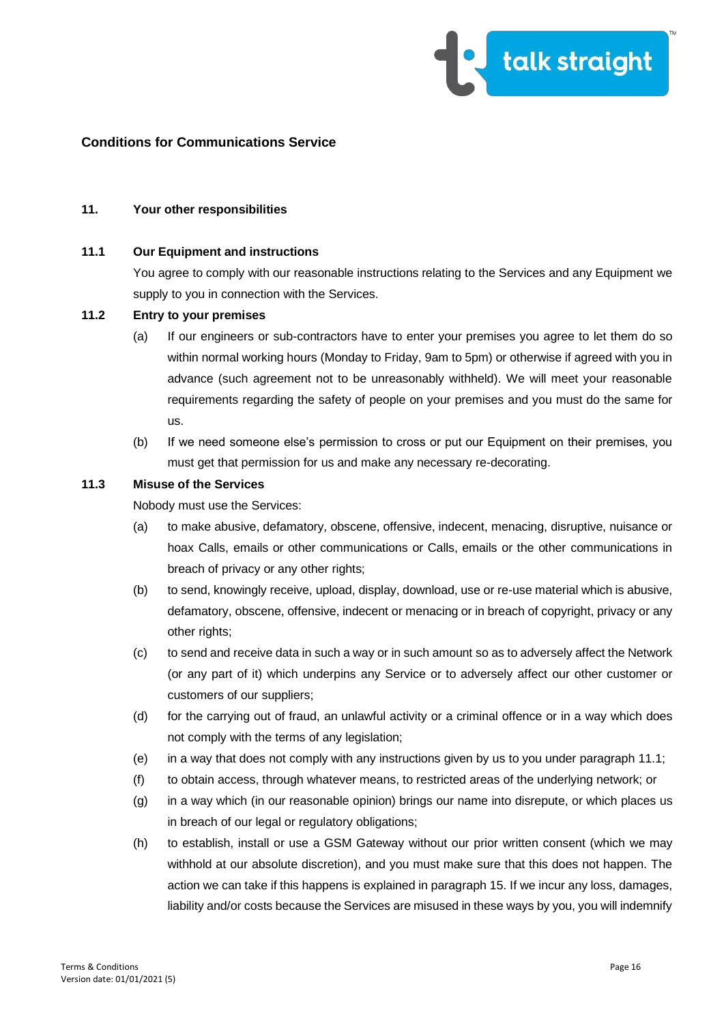

#### **11. Your other responsibilities**

### **11.1 Our Equipment and instructions**

You agree to comply with our reasonable instructions relating to the Services and any Equipment we supply to you in connection with the Services.

#### **11.2 Entry to your premises**

- (a) If our engineers or sub-contractors have to enter your premises you agree to let them do so within normal working hours (Monday to Friday, 9am to 5pm) or otherwise if agreed with you in advance (such agreement not to be unreasonably withheld). We will meet your reasonable requirements regarding the safety of people on your premises and you must do the same for us.
- (b) If we need someone else's permission to cross or put our Equipment on their premises, you must get that permission for us and make any necessary re-decorating.

### **11.3 Misuse of the Services**

Nobody must use the Services:

- (a) to make abusive, defamatory, obscene, offensive, indecent, menacing, disruptive, nuisance or hoax Calls, emails or other communications or Calls, emails or the other communications in breach of privacy or any other rights;
- (b) to send, knowingly receive, upload, display, download, use or re-use material which is abusive, defamatory, obscene, offensive, indecent or menacing or in breach of copyright, privacy or any other rights;
- (c) to send and receive data in such a way or in such amount so as to adversely affect the Network (or any part of it) which underpins any Service or to adversely affect our other customer or customers of our suppliers;
- (d) for the carrying out of fraud, an unlawful activity or a criminal offence or in a way which does not comply with the terms of any legislation;
- (e) in a way that does not comply with any instructions given by us to you under paragraph 11.1;
- (f) to obtain access, through whatever means, to restricted areas of the underlying network; or
- (g) in a way which (in our reasonable opinion) brings our name into disrepute, or which places us in breach of our legal or regulatory obligations;
- (h) to establish, install or use a GSM Gateway without our prior written consent (which we may withhold at our absolute discretion), and you must make sure that this does not happen. The action we can take if this happens is explained in paragraph 15. If we incur any loss, damages, liability and/or costs because the Services are misused in these ways by you, you will indemnify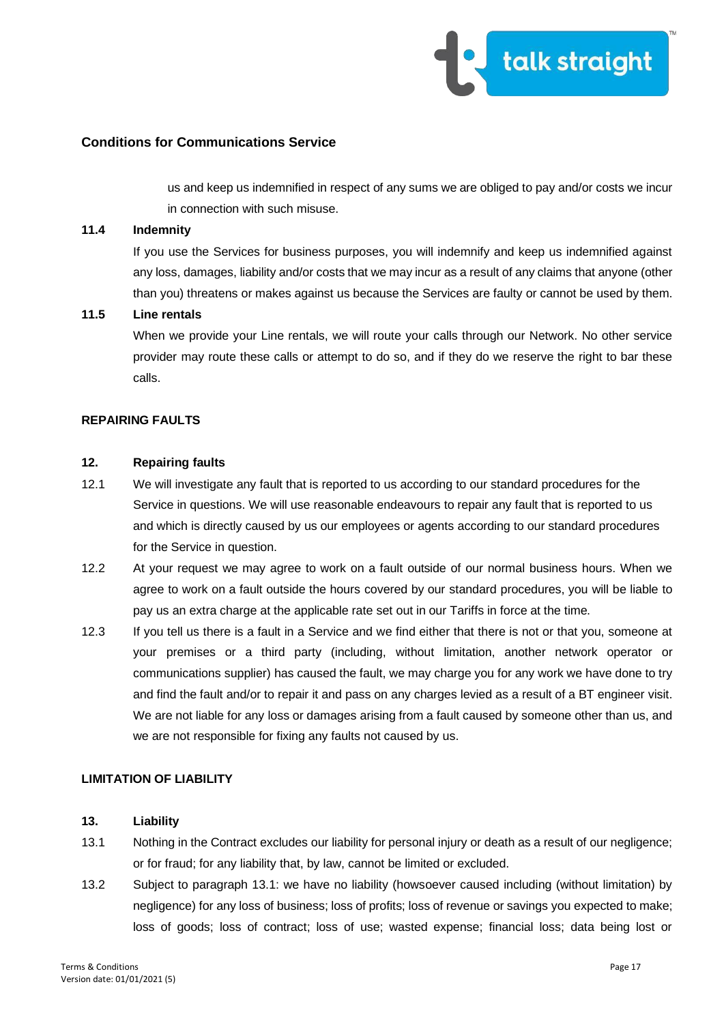

us and keep us indemnified in respect of any sums we are obliged to pay and/or costs we incur in connection with such misuse.

#### **11.4 Indemnity**

If you use the Services for business purposes, you will indemnify and keep us indemnified against any loss, damages, liability and/or costs that we may incur as a result of any claims that anyone (other than you) threatens or makes against us because the Services are faulty or cannot be used by them.

#### **11.5 Line rentals**

When we provide your Line rentals, we will route your calls through our Network. No other service provider may route these calls or attempt to do so, and if they do we reserve the right to bar these calls.

### **REPAIRING FAULTS**

## **12. Repairing faults**

- 12.1 We will investigate any fault that is reported to us according to our standard procedures for the Service in questions. We will use reasonable endeavours to repair any fault that is reported to us and which is directly caused by us our employees or agents according to our standard procedures for the Service in question.
- 12.2 At your request we may agree to work on a fault outside of our normal business hours. When we agree to work on a fault outside the hours covered by our standard procedures, you will be liable to pay us an extra charge at the applicable rate set out in our Tariffs in force at the time.
- 12.3 If you tell us there is a fault in a Service and we find either that there is not or that you, someone at your premises or a third party (including, without limitation, another network operator or communications supplier) has caused the fault, we may charge you for any work we have done to try and find the fault and/or to repair it and pass on any charges levied as a result of a BT engineer visit. We are not liable for any loss or damages arising from a fault caused by someone other than us, and we are not responsible for fixing any faults not caused by us.

# **LIMITATION OF LIABILITY**

### **13. Liability**

- 13.1 Nothing in the Contract excludes our liability for personal injury or death as a result of our negligence; or for fraud; for any liability that, by law, cannot be limited or excluded.
- 13.2 Subject to paragraph 13.1: we have no liability (howsoever caused including (without limitation) by negligence) for any loss of business; loss of profits; loss of revenue or savings you expected to make; loss of goods; loss of contract; loss of use; wasted expense; financial loss; data being lost or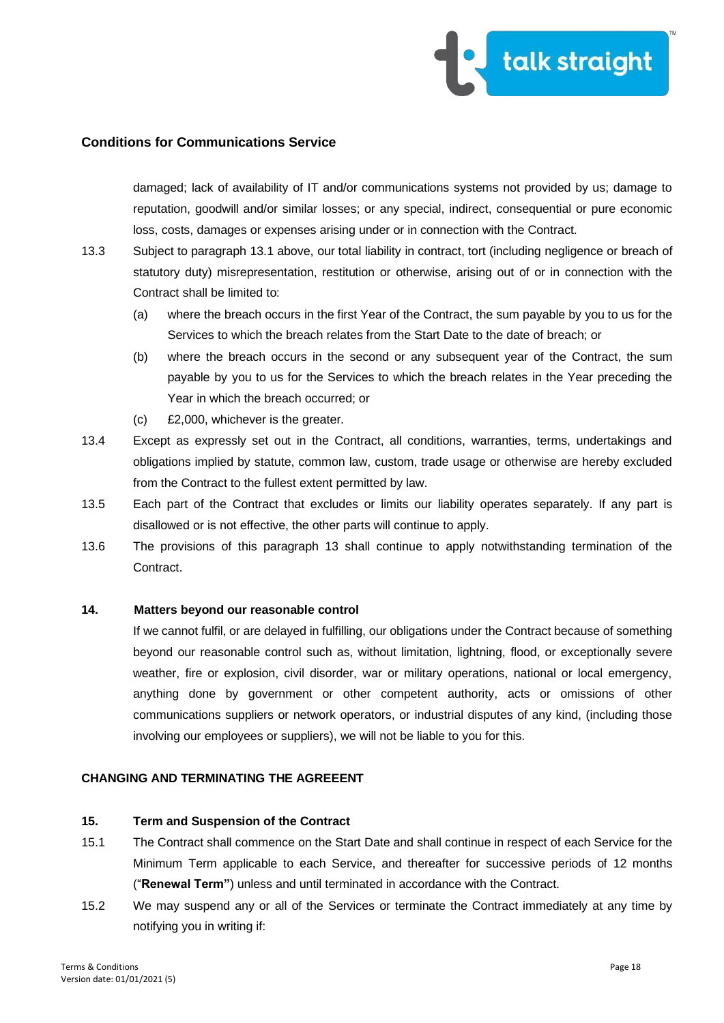

damaged; lack of availability of IT and/or communications systems not provided by us; damage to reputation, goodwill and/or similar losses; or any special, indirect, consequential or pure economic loss, costs, damages or expenses arising under or in connection with the Contract.

- 13.3 Subject to paragraph 13.1 above, our total liability in contract, tort (including negligence or breach of statutory duty) misrepresentation, restitution or otherwise, arising out of or in connection with the Contract shall be limited to:
	- (a) where the breach occurs in the first Year of the Contract, the sum payable by you to us for the Services to which the breach relates from the Start Date to the date of breach; or
	- (b) where the breach occurs in the second or any subsequent year of the Contract, the sum payable by you to us for the Services to which the breach relates in the Year preceding the Year in which the breach occurred; or
	- (c) £2,000, whichever is the greater.
- 13.4 Except as expressly set out in the Contract, all conditions, warranties, terms, undertakings and obligations implied by statute, common law, custom, trade usage or otherwise are hereby excluded from the Contract to the fullest extent permitted by law.
- 13.5 Each part of the Contract that excludes or limits our liability operates separately. If any part is disallowed or is not effective, the other parts will continue to apply.
- 13.6 The provisions of this paragraph 13 shall continue to apply notwithstanding termination of the Contract.

## **14. Matters beyond our reasonable control**

If we cannot fulfil, or are delayed in fulfilling, our obligations under the Contract because of something beyond our reasonable control such as, without limitation, lightning, flood, or exceptionally severe weather, fire or explosion, civil disorder, war or military operations, national or local emergency, anything done by government or other competent authority, acts or omissions of other communications suppliers or network operators, or industrial disputes of any kind, (including those involving our employees or suppliers), we will not be liable to you for this.

### **CHANGING AND TERMINATING THE AGREEENT**

## **15. Term and Suspension of the Contract**

- 15.1 The Contract shall commence on the Start Date and shall continue in respect of each Service for the Minimum Term applicable to each Service, and thereafter for successive periods of 12 months ("**Renewal Term"**) unless and until terminated in accordance with the Contract.
- 15.2 We may suspend any or all of the Services or terminate the Contract immediately at any time by notifying you in writing if: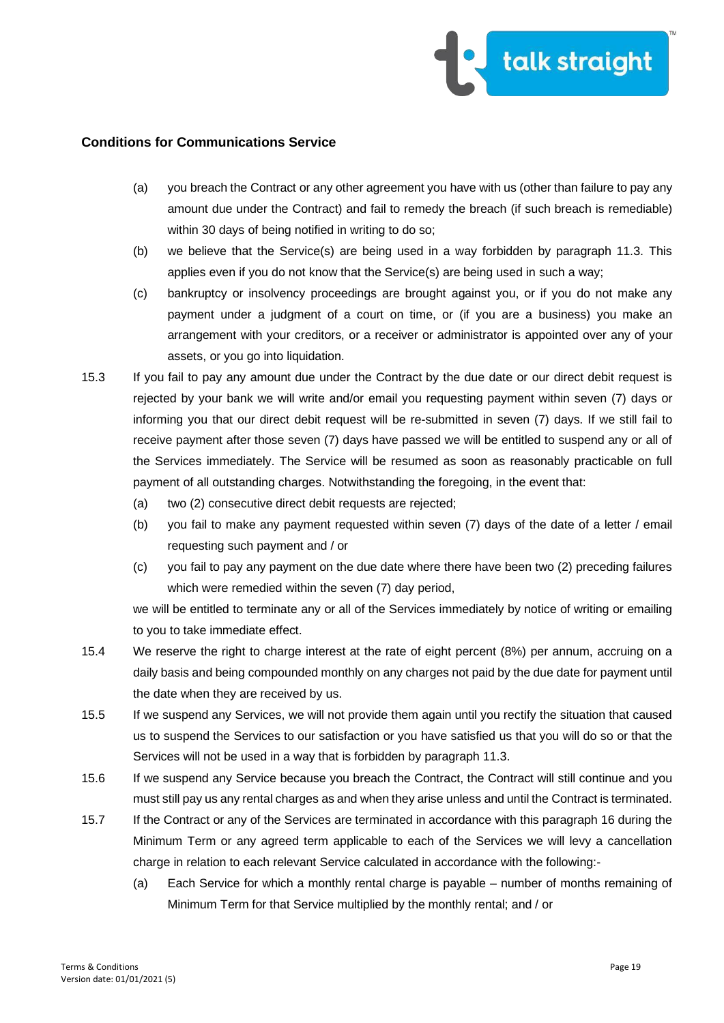

- (a) you breach the Contract or any other agreement you have with us (other than failure to pay any amount due under the Contract) and fail to remedy the breach (if such breach is remediable) within 30 days of being notified in writing to do so;
- (b) we believe that the Service(s) are being used in a way forbidden by paragraph 11.3. This applies even if you do not know that the Service(s) are being used in such a way;
- (c) bankruptcy or insolvency proceedings are brought against you, or if you do not make any payment under a judgment of a court on time, or (if you are a business) you make an arrangement with your creditors, or a receiver or administrator is appointed over any of your assets, or you go into liquidation.
- 15.3 If you fail to pay any amount due under the Contract by the due date or our direct debit request is rejected by your bank we will write and/or email you requesting payment within seven (7) days or informing you that our direct debit request will be re-submitted in seven (7) days. If we still fail to receive payment after those seven (7) days have passed we will be entitled to suspend any or all of the Services immediately. The Service will be resumed as soon as reasonably practicable on full payment of all outstanding charges. Notwithstanding the foregoing, in the event that:
	- (a) two (2) consecutive direct debit requests are rejected;
	- (b) you fail to make any payment requested within seven (7) days of the date of a letter / email requesting such payment and / or
	- (c) you fail to pay any payment on the due date where there have been two (2) preceding failures which were remedied within the seven (7) day period,

we will be entitled to terminate any or all of the Services immediately by notice of writing or emailing to you to take immediate effect.

- 15.4 We reserve the right to charge interest at the rate of eight percent (8%) per annum, accruing on a daily basis and being compounded monthly on any charges not paid by the due date for payment until the date when they are received by us.
- 15.5 If we suspend any Services, we will not provide them again until you rectify the situation that caused us to suspend the Services to our satisfaction or you have satisfied us that you will do so or that the Services will not be used in a way that is forbidden by paragraph 11.3.
- 15.6 If we suspend any Service because you breach the Contract, the Contract will still continue and you must still pay us any rental charges as and when they arise unless and until the Contract is terminated.
- 15.7 If the Contract or any of the Services are terminated in accordance with this paragraph 16 during the Minimum Term or any agreed term applicable to each of the Services we will levy a cancellation charge in relation to each relevant Service calculated in accordance with the following:-
	- (a) Each Service for which a monthly rental charge is payable number of months remaining of Minimum Term for that Service multiplied by the monthly rental; and / or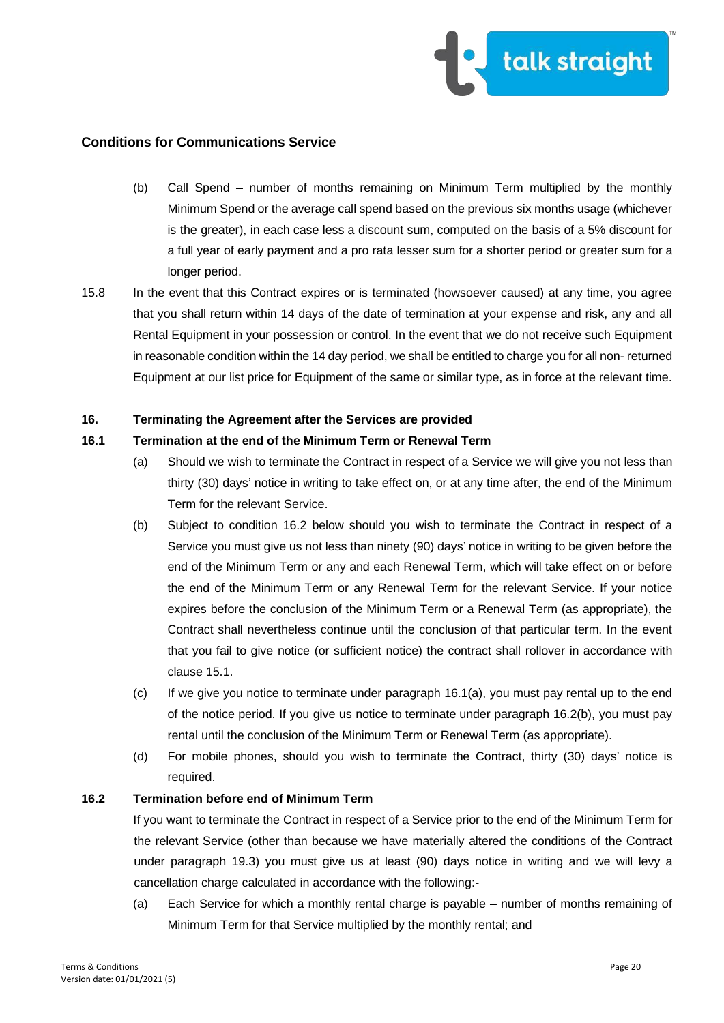

- (b) Call Spend number of months remaining on Minimum Term multiplied by the monthly Minimum Spend or the average call spend based on the previous six months usage (whichever is the greater), in each case less a discount sum, computed on the basis of a 5% discount for a full year of early payment and a pro rata lesser sum for a shorter period or greater sum for a longer period.
- 15.8 In the event that this Contract expires or is terminated (howsoever caused) at any time, you agree that you shall return within 14 days of the date of termination at your expense and risk, any and all Rental Equipment in your possession or control. In the event that we do not receive such Equipment in reasonable condition within the 14 day period, we shall be entitled to charge you for all non- returned Equipment at our list price for Equipment of the same or similar type, as in force at the relevant time.

#### **16. Terminating the Agreement after the Services are provided**

## **16.1 Termination at the end of the Minimum Term or Renewal Term**

- (a) Should we wish to terminate the Contract in respect of a Service we will give you not less than thirty (30) days' notice in writing to take effect on, or at any time after, the end of the Minimum Term for the relevant Service.
- (b) Subject to condition 16.2 below should you wish to terminate the Contract in respect of a Service you must give us not less than ninety (90) days' notice in writing to be given before the end of the Minimum Term or any and each Renewal Term, which will take effect on or before the end of the Minimum Term or any Renewal Term for the relevant Service. If your notice expires before the conclusion of the Minimum Term or a Renewal Term (as appropriate), the Contract shall nevertheless continue until the conclusion of that particular term. In the event that you fail to give notice (or sufficient notice) the contract shall rollover in accordance with clause 15.1.
- (c) If we give you notice to terminate under paragraph 16.1(a), you must pay rental up to the end of the notice period. If you give us notice to terminate under paragraph 16.2(b), you must pay rental until the conclusion of the Minimum Term or Renewal Term (as appropriate).
- (d) For mobile phones, should you wish to terminate the Contract, thirty (30) days' notice is required.

#### **16.2 Termination before end of Minimum Term**

If you want to terminate the Contract in respect of a Service prior to the end of the Minimum Term for the relevant Service (other than because we have materially altered the conditions of the Contract under paragraph 19.3) you must give us at least (90) days notice in writing and we will levy a cancellation charge calculated in accordance with the following:-

(a) Each Service for which a monthly rental charge is payable – number of months remaining of Minimum Term for that Service multiplied by the monthly rental; and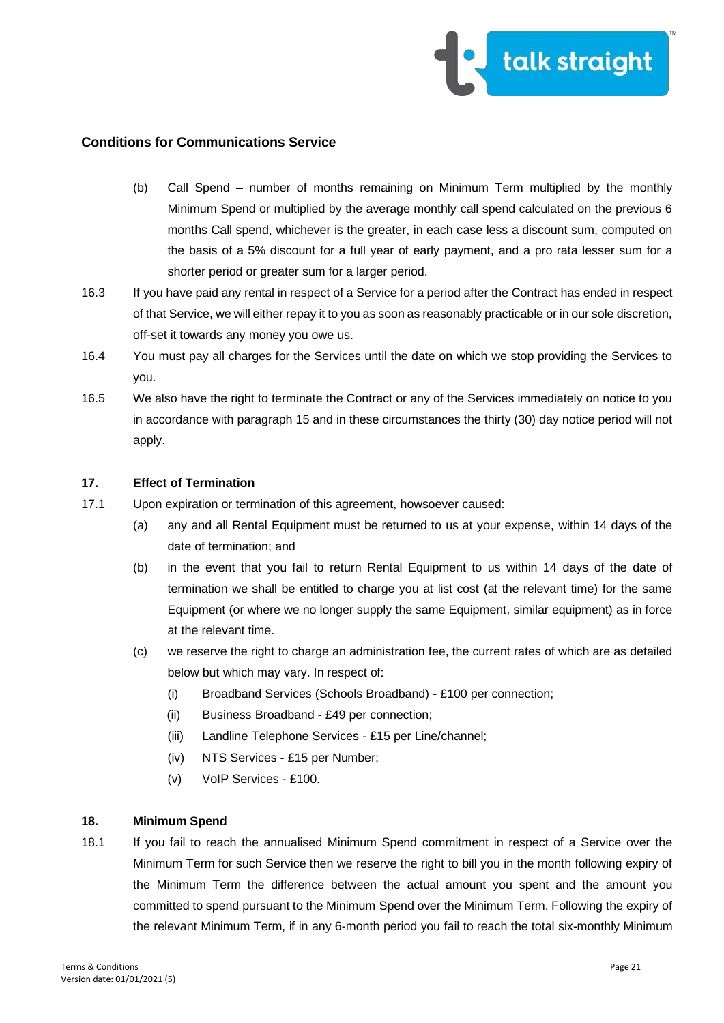

- (b) Call Spend number of months remaining on Minimum Term multiplied by the monthly Minimum Spend or multiplied by the average monthly call spend calculated on the previous 6 months Call spend, whichever is the greater, in each case less a discount sum, computed on the basis of a 5% discount for a full year of early payment, and a pro rata lesser sum for a shorter period or greater sum for a larger period.
- 16.3 If you have paid any rental in respect of a Service for a period after the Contract has ended in respect of that Service, we will either repay it to you as soon as reasonably practicable or in our sole discretion, off-set it towards any money you owe us.
- 16.4 You must pay all charges for the Services until the date on which we stop providing the Services to you.
- 16.5 We also have the right to terminate the Contract or any of the Services immediately on notice to you in accordance with paragraph 15 and in these circumstances the thirty (30) day notice period will not apply.

## **17. Effect of Termination**

- 17.1 Upon expiration or termination of this agreement, howsoever caused:
	- (a) any and all Rental Equipment must be returned to us at your expense, within 14 days of the date of termination; and
	- (b) in the event that you fail to return Rental Equipment to us within 14 days of the date of termination we shall be entitled to charge you at list cost (at the relevant time) for the same Equipment (or where we no longer supply the same Equipment, similar equipment) as in force at the relevant time.
	- (c) we reserve the right to charge an administration fee, the current rates of which are as detailed below but which may vary. In respect of:
		- (i) Broadband Services (Schools Broadband) £100 per connection;
		- (ii) Business Broadband £49 per connection;
		- (iii) Landline Telephone Services £15 per Line/channel;
		- (iv) NTS Services £15 per Number;
		- (v) VoIP Services £100.

## **18. Minimum Spend**

18.1 If you fail to reach the annualised Minimum Spend commitment in respect of a Service over the Minimum Term for such Service then we reserve the right to bill you in the month following expiry of the Minimum Term the difference between the actual amount you spent and the amount you committed to spend pursuant to the Minimum Spend over the Minimum Term. Following the expiry of the relevant Minimum Term, if in any 6-month period you fail to reach the total six-monthly Minimum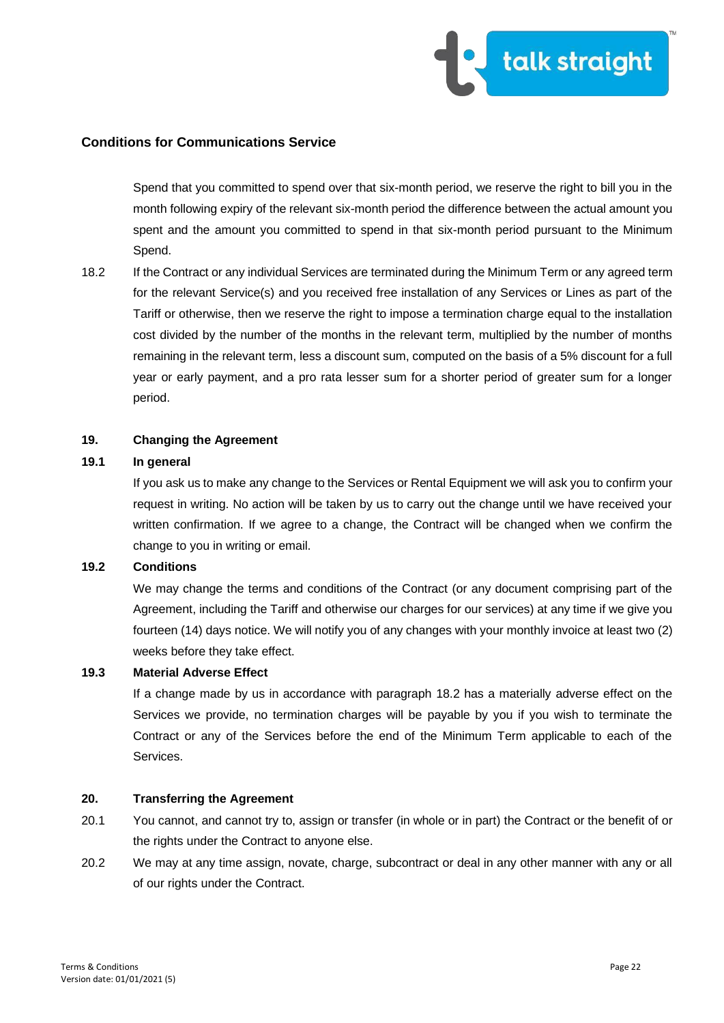

Spend that you committed to spend over that six-month period, we reserve the right to bill you in the month following expiry of the relevant six-month period the difference between the actual amount you spent and the amount you committed to spend in that six-month period pursuant to the Minimum Spend.

18.2 If the Contract or any individual Services are terminated during the Minimum Term or any agreed term for the relevant Service(s) and you received free installation of any Services or Lines as part of the Tariff or otherwise, then we reserve the right to impose a termination charge equal to the installation cost divided by the number of the months in the relevant term, multiplied by the number of months remaining in the relevant term, less a discount sum, computed on the basis of a 5% discount for a full year or early payment, and a pro rata lesser sum for a shorter period of greater sum for a longer period.

#### **19. Changing the Agreement**

#### **19.1 In general**

If you ask us to make any change to the Services or Rental Equipment we will ask you to confirm your request in writing. No action will be taken by us to carry out the change until we have received your written confirmation. If we agree to a change, the Contract will be changed when we confirm the change to you in writing or email.

## **19.2 Conditions**

We may change the terms and conditions of the Contract (or any document comprising part of the Agreement, including the Tariff and otherwise our charges for our services) at any time if we give you fourteen (14) days notice. We will notify you of any changes with your monthly invoice at least two (2) weeks before they take effect.

#### **19.3 Material Adverse Effect**

If a change made by us in accordance with paragraph 18.2 has a materially adverse effect on the Services we provide, no termination charges will be payable by you if you wish to terminate the Contract or any of the Services before the end of the Minimum Term applicable to each of the Services.

### **20. Transferring the Agreement**

- 20.1 You cannot, and cannot try to, assign or transfer (in whole or in part) the Contract or the benefit of or the rights under the Contract to anyone else.
- 20.2 We may at any time assign, novate, charge, subcontract or deal in any other manner with any or all of our rights under the Contract.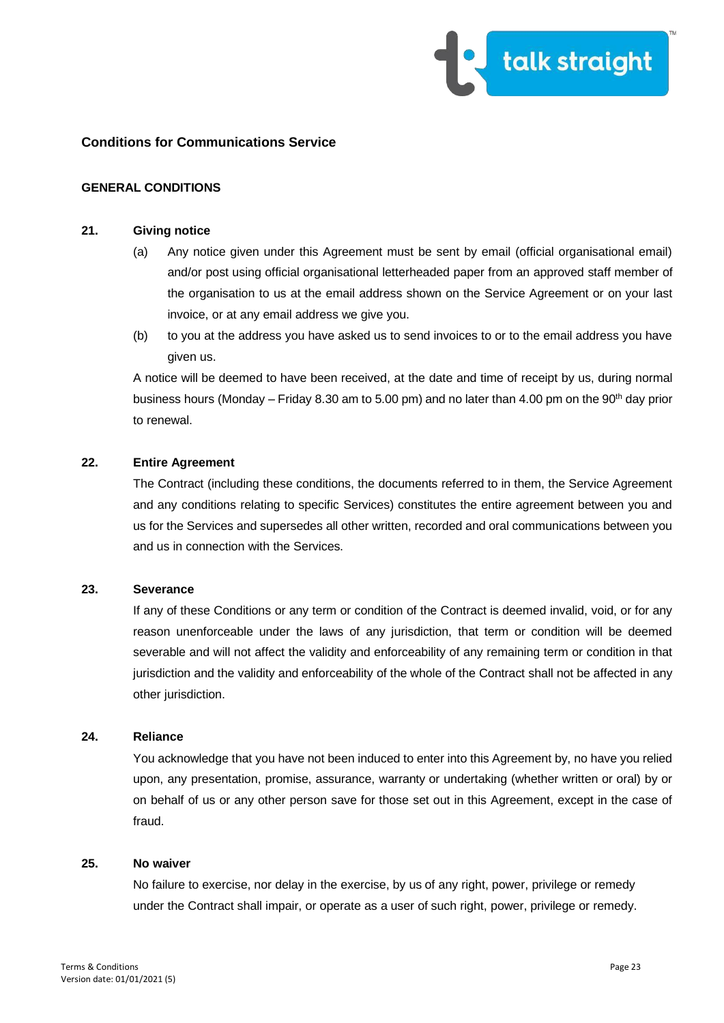

### **GENERAL CONDITIONS**

### **21. Giving notice**

- (a) Any notice given under this Agreement must be sent by email (official organisational email) and/or post using official organisational letterheaded paper from an approved staff member of the organisation to us at the email address shown on the Service Agreement or on your last invoice, or at any email address we give you.
- (b) to you at the address you have asked us to send invoices to or to the email address you have given us.

A notice will be deemed to have been received, at the date and time of receipt by us, during normal business hours (Monday – Friday 8.30 am to 5.00 pm) and no later than 4.00 pm on the 90<sup>th</sup> day prior to renewal.

### **22. Entire Agreement**

The Contract (including these conditions, the documents referred to in them, the Service Agreement and any conditions relating to specific Services) constitutes the entire agreement between you and us for the Services and supersedes all other written, recorded and oral communications between you and us in connection with the Services.

#### **23. Severance**

If any of these Conditions or any term or condition of the Contract is deemed invalid, void, or for any reason unenforceable under the laws of any jurisdiction, that term or condition will be deemed severable and will not affect the validity and enforceability of any remaining term or condition in that jurisdiction and the validity and enforceability of the whole of the Contract shall not be affected in any other jurisdiction.

### **24. Reliance**

You acknowledge that you have not been induced to enter into this Agreement by, no have you relied upon, any presentation, promise, assurance, warranty or undertaking (whether written or oral) by or on behalf of us or any other person save for those set out in this Agreement, except in the case of fraud.

#### **25. No waiver**

No failure to exercise, nor delay in the exercise, by us of any right, power, privilege or remedy under the Contract shall impair, or operate as a user of such right, power, privilege or remedy.